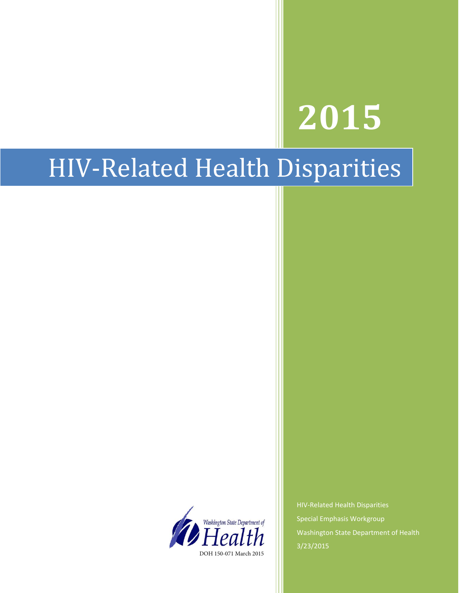# **2015**

## HIV-Related Health Disparities



HIV-Related Health Disparities Special Emphasis Workgroup Washington State Department of Health 3/23/2015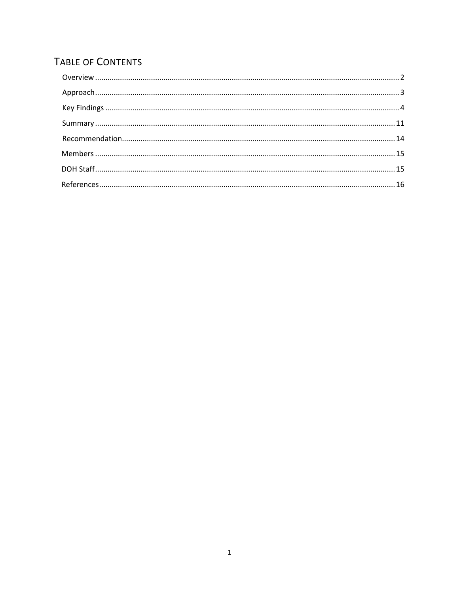## TABLE OF CONTENTS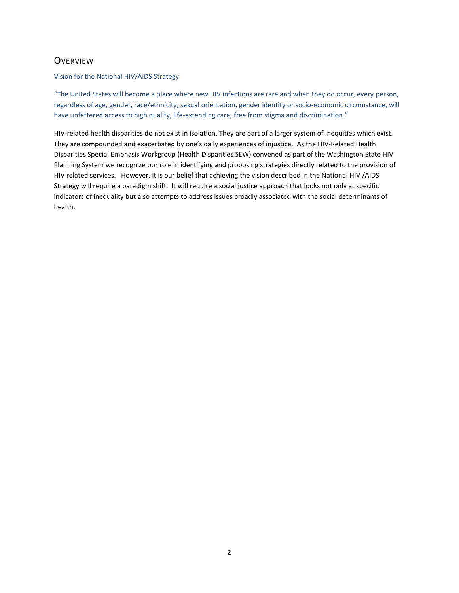## <span id="page-2-0"></span>**OVERVIEW**

#### Vision for the National HIV/AIDS Strategy

"The United States will become a place where new HIV infections are rare and when they do occur, every person, regardless of age, gender, race/ethnicity, sexual orientation, gender identity or socio-economic circumstance, will have unfettered access to high quality, life-extending care, free from stigma and discrimination."

HIV-related health disparities do not exist in isolation. They are part of a larger system of inequities which exist. They are compounded and exacerbated by one's daily experiences of injustice. As the HIV-Related Health Disparities Special Emphasis Workgroup (Health Disparities SEW) convened as part of the Washington State HIV Planning System we recognize our role in identifying and proposing strategies directly related to the provision of HIV related services. However, it is our belief that achieving the vision described in the National HIV /AIDS Strategy will require a paradigm shift. It will require a social justice approach that looks not only at specific indicators of inequality but also attempts to address issues broadly associated with the social determinants of health.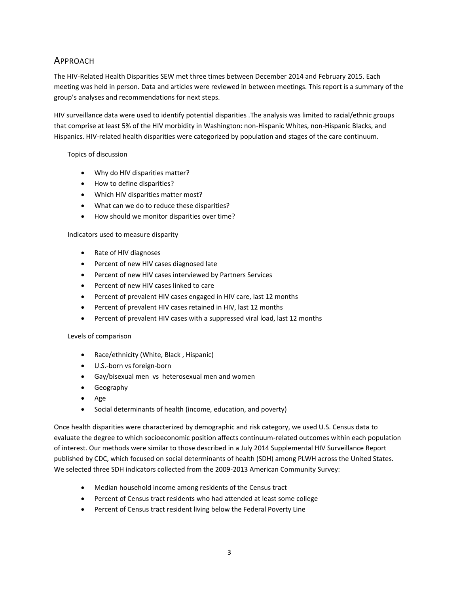## <span id="page-3-0"></span>APPROACH

The HIV-Related Health Disparities SEW met three times between December 2014 and February 2015. Each meeting was held in person. Data and articles were reviewed in between meetings. This report is a summary of the group's analyses and recommendations for next steps.

HIV surveillance data were used to identify potential disparities .The analysis was limited to racial/ethnic groups that comprise at least 5% of the HIV morbidity in Washington: non-Hispanic Whites, non-Hispanic Blacks, and Hispanics. HIV-related health disparities were categorized by population and stages of the care continuum.

#### Topics of discussion

- Why do HIV disparities matter?
- How to define disparities?
- Which HIV disparities matter most?
- What can we do to reduce these disparities?
- How should we monitor disparities over time?

#### Indicators used to measure disparity

- Rate of HIV diagnoses
- Percent of new HIV cases diagnosed late
- Percent of new HIV cases interviewed by Partners Services
- Percent of new HIV cases linked to care
- Percent of prevalent HIV cases engaged in HIV care, last 12 months
- Percent of prevalent HIV cases retained in HIV, last 12 months
- Percent of prevalent HIV cases with a suppressed viral load, last 12 months

#### Levels of comparison

- Race/ethnicity (White, Black , Hispanic)
- U.S.-born vs foreign-born
- Gay/bisexual men vs heterosexual men and women
- **•** Geography
- Age
- Social determinants of health (income, education, and poverty)

Once health disparities were characterized by demographic and risk category, we used U.S. Census data to evaluate the degree to which socioeconomic position affects continuum-related outcomes within each population of interest. Our methods were similar to those described in a July 2014 Supplemental HIV Surveillance Report published by CDC, which focused on social determinants of health (SDH) among PLWH across the United States. We selected three SDH indicators collected from the 2009-2013 American Community Survey:

- Median household income among residents of the Census tract
- Percent of Census tract residents who had attended at least some college
- Percent of Census tract resident living below the Federal Poverty Line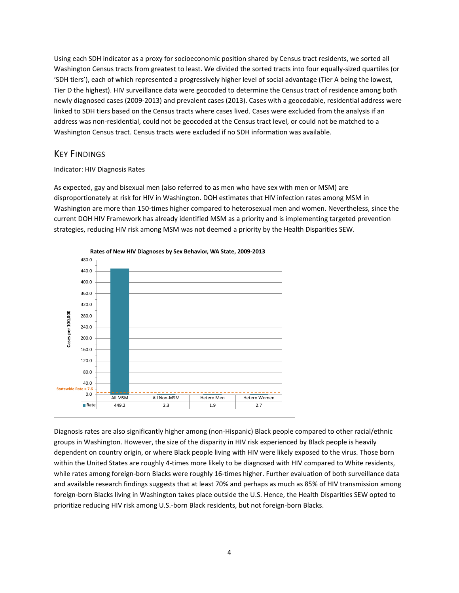Using each SDH indicator as a proxy for socioeconomic position shared by Census tract residents, we sorted all Washington Census tracts from greatest to least. We divided the sorted tracts into four equally-sized quartiles (or 'SDH tiers'), each of which represented a progressively higher level of social advantage (Tier A being the lowest, Tier D the highest). HIV surveillance data were geocoded to determine the Census tract of residence among both newly diagnosed cases (2009-2013) and prevalent cases (2013). Cases with a geocodable, residential address were linked to SDH tiers based on the Census tracts where cases lived. Cases were excluded from the analysis if an address was non-residential, could not be geocoded at the Census tract level, or could not be matched to a Washington Census tract. Census tracts were excluded if no SDH information was available.

## <span id="page-4-0"></span>KEY FINDINGS

#### Indicator: HIV Diagnosis Rates

As expected, gay and bisexual men (also referred to as men who have sex with men or MSM) are disproportionately at risk for HIV in Washington. DOH estimates that HIV infection rates among MSM in Washington are more than 150-times higher compared to heterosexual men and women. Nevertheless, since the current DOH HIV Framework has already identified MSM as a priority and is implementing targeted prevention strategies, reducing HIV risk among MSM was not deemed a priority by the Health Disparities SEW.



Diagnosis rates are also significantly higher among (non-Hispanic) Black people compared to other racial/ethnic groups in Washington. However, the size of the disparity in HIV risk experienced by Black people is heavily dependent on country origin, or where Black people living with HIV were likely exposed to the virus. Those born within the United States are roughly 4-times more likely to be diagnosed with HIV compared to White residents, while rates among foreign-born Blacks were roughly 16-times higher. Further evaluation of both surveillance data and available research findings suggests that at least 70% and perhaps as much as 85% of HIV transmission among foreign-born Blacks living in Washington takes place outside the U.S. Hence, the Health Disparities SEW opted to prioritize reducing HIV risk among U.S.-born Black residents, but not foreign-born Blacks.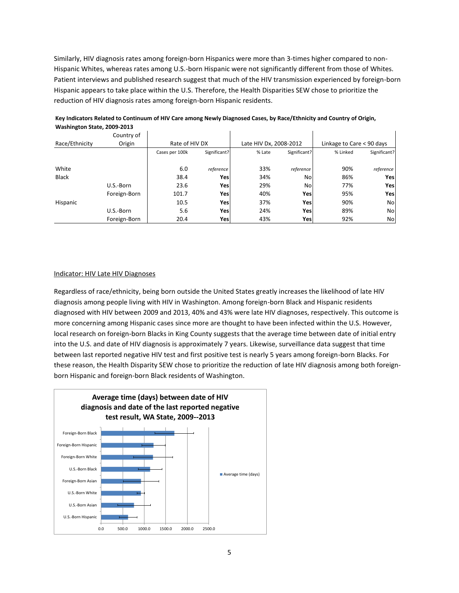Similarly, HIV diagnosis rates among foreign-born Hispanics were more than 3-times higher compared to non-Hispanic Whites, whereas rates among U.S.-born Hispanic were not significantly different from those of Whites. Patient interviews and published research suggest that much of the HIV transmission experienced by foreign-born Hispanic appears to take place within the U.S. Therefore, the Health Disparities SEW chose to prioritize the reduction of HIV diagnosis rates among foreign-born Hispanic residents.

| Washington State, 2009-2013 |              |                |              |                        |              |                           |              |
|-----------------------------|--------------|----------------|--------------|------------------------|--------------|---------------------------|--------------|
|                             | Country of   |                |              |                        |              |                           |              |
| Race/Ethnicity              | Origin       | Rate of HIV DX |              | Late HIV Dx, 2008-2012 |              | Linkage to Care < 90 days |              |
|                             |              | Cases per 100k | Significant? | % Late                 | Significant? | % Linked                  | Significant? |
| White                       |              | 6.0            | reference    | 33%                    | reference    | 90%                       | reference    |
| <b>Black</b>                |              | 38.4           | Yesl         | 34%                    | <b>No</b>    | 86%                       | Yes          |
|                             | U.S.-Born    | 23.6           | Yesl         | 29%                    | <b>No</b>    | 77%                       | Yes          |
|                             | Foreign-Born | 101.7          | Yesl         | 40%                    | Yesl         | 95%                       | Yes          |
| Hispanic                    |              | 10.5           | Yesl         | 37%                    | Yes          | 90%                       | No           |
|                             | U.S.-Born    | 5.6            | Yesl         | 24%                    | Yes          | 89%                       | No           |
|                             | Foreign-Born | 20.4           | Yes          | 43%                    | Yesl         | 92%                       | No           |

#### **Key Indicators Related to Continuum of HIV Care among Newly Diagnosed Cases, by Race/Ethnicity and Country of Origin, Washington State, 2009-2013**

#### Indicator: HIV Late HIV Diagnoses

Regardless of race/ethnicity, being born outside the United States greatly increases the likelihood of late HIV diagnosis among people living with HIV in Washington. Among foreign-born Black and Hispanic residents diagnosed with HIV between 2009 and 2013, 40% and 43% were late HIV diagnoses, respectively. This outcome is more concerning among Hispanic cases since more are thought to have been infected within the U.S. However, local research on foreign-born Blacks in King County suggests that the average time between date of initial entry into the U.S. and date of HIV diagnosis is approximately 7 years. Likewise, surveillance data suggest that time between last reported negative HIV test and first positive test is nearly 5 years among foreign-born Blacks. For these reason, the Health Disparity SEW chose to prioritize the reduction of late HIV diagnosis among both foreignborn Hispanic and foreign-born Black residents of Washington.

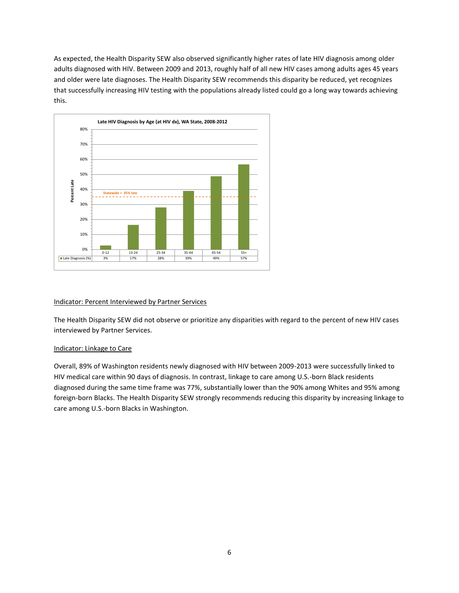As expected, the Health Disparity SEW also observed significantly higher rates of late HIV diagnosis among older adults diagnosed with HIV. Between 2009 and 2013, roughly half of all new HIV cases among adults ages 45 years and older were late diagnoses. The Health Disparity SEW recommends this disparity be reduced, yet recognizes that successfully increasing HIV testing with the populations already listed could go a long way towards achieving this.



#### Indicator: Percent Interviewed by Partner Services

The Health Disparity SEW did not observe or prioritize any disparities with regard to the percent of new HIV cases interviewed by Partner Services.

#### Indicator: Linkage to Care

Overall, 89% of Washington residents newly diagnosed with HIV between 2009-2013 were successfully linked to HIV medical care within 90 days of diagnosis. In contrast, linkage to care among U.S.-born Black residents diagnosed during the same time frame was 77%, substantially lower than the 90% among Whites and 95% among foreign-born Blacks. The Health Disparity SEW strongly recommends reducing this disparity by increasing linkage to care among U.S.-born Blacks in Washington.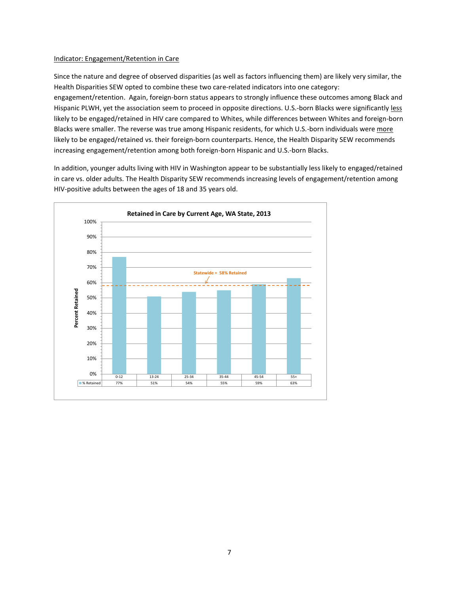#### Indicator: Engagement/Retention in Care

Since the nature and degree of observed disparities (as well as factors influencing them) are likely very similar, the Health Disparities SEW opted to combine these two care-related indicators into one category: engagement/retention. Again, foreign-born status appears to strongly influence these outcomes among Black and Hispanic PLWH, yet the association seem to proceed in opposite directions. U.S.-born Blacks were significantly less likely to be engaged/retained in HIV care compared to Whites, while differences between Whites and foreign-born Blacks were smaller. The reverse was true among Hispanic residents, for which U.S.-born individuals were more likely to be engaged/retained vs. their foreign-born counterparts. Hence, the Health Disparity SEW recommends increasing engagement/retention among both foreign-born Hispanic and U.S.-born Blacks.

In addition, younger adults living with HIV in Washington appear to be substantially less likely to engaged/retained in care vs. older adults. The Health Disparity SEW recommends increasing levels of engagement/retention among HIV-positive adults between the ages of 18 and 35 years old.

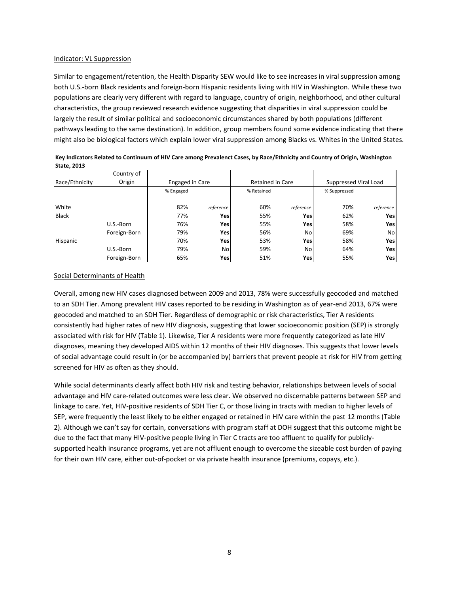#### Indicator: VL Suppression

Similar to engagement/retention, the Health Disparity SEW would like to see increases in viral suppression among both U.S.-born Black residents and foreign-born Hispanic residents living with HIV in Washington. While these two populations are clearly very different with regard to language, country of origin, neighborhood, and other cultural characteristics, the group reviewed research evidence suggesting that disparities in viral suppression could be largely the result of similar political and socioeconomic circumstances shared by both populations (different pathways leading to the same destination). In addition, group members found some evidence indicating that there might also be biological factors which explain lower viral suppression among Blacks vs. Whites in the United States.

|                | Country of   |                 |                |                  |           |                       |           |  |
|----------------|--------------|-----------------|----------------|------------------|-----------|-----------------------|-----------|--|
| Race/Ethnicity | Origin       | Engaged in Care |                | Retained in Care |           | Suppressed Viral Load |           |  |
|                |              | % Engaged       |                | % Retained       |           | % Suppressed          |           |  |
|                |              |                 |                |                  |           |                       |           |  |
| White          |              | 82%             | reference      | 60%              | reference | 70%                   | reference |  |
| Black          |              | 77%             | Yesl           | 55%              | Yesl      | 62%                   | Yes       |  |
|                | U.S.-Born    | 76%             | Yes            | 55%              | Yes       | 58%                   | Yes       |  |
|                | Foreign-Born | 79%             | Yes            | 56%              | No        | 69%                   | No        |  |
| Hispanic       |              | 70%             | Yesl           | 53%              | Yesl      | 58%                   | Yes       |  |
|                | U.S.-Born    | 79%             | N <sub>o</sub> | 59%              | No        | 64%                   | Yes       |  |
|                | Foreign-Born | 65%             | Yes            | 51%              | Yes       | 55%                   | Yes       |  |

**Key Indicators Related to Continuum of HIV Care among Prevalenct Cases, by Race/Ethnicity and Country of Origin, Washington State, 2013**

#### Social Determinants of Health

Overall, among new HIV cases diagnosed between 2009 and 2013, 78% were successfully geocoded and matched to an SDH Tier. Among prevalent HIV cases reported to be residing in Washington as of year-end 2013, 67% were geocoded and matched to an SDH Tier. Regardless of demographic or risk characteristics, Tier A residents consistently had higher rates of new HIV diagnosis, suggesting that lower socioeconomic position (SEP) is strongly associated with risk for HIV (Table 1). Likewise, Tier A residents were more frequently categorized as late HIV diagnoses, meaning they developed AIDS within 12 months of their HIV diagnoses. This suggests that lower levels of social advantage could result in (or be accompanied by) barriers that prevent people at risk for HIV from getting screened for HIV as often as they should.

While social determinants clearly affect both HIV risk and testing behavior, relationships between levels of social advantage and HIV care-related outcomes were less clear. We observed no discernable patterns between SEP and linkage to care. Yet, HIV-positive residents of SDH Tier C, or those living in tracts with median to higher levels of SEP, were frequently the least likely to be either engaged or retained in HIV care within the past 12 months (Table 2). Although we can't say for certain, conversations with program staff at DOH suggest that this outcome might be due to the fact that many HIV-positive people living in Tier C tracts are too affluent to qualify for publiclysupported health insurance programs, yet are not affluent enough to overcome the sizeable cost burden of paying for their own HIV care, either out-of-pocket or via private health insurance (premiums, copays, etc.).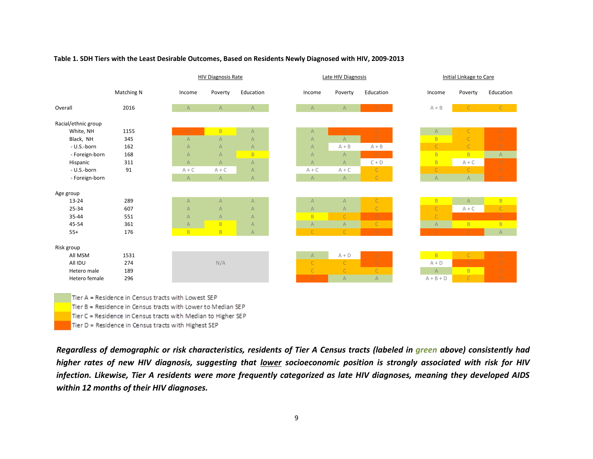|                     |            |                | <b>HIV Diagnosis Rate</b> |                | Late HIV Diagnosis |                |                | Initial Linkage to Care |  |  |
|---------------------|------------|----------------|---------------------------|----------------|--------------------|----------------|----------------|-------------------------|--|--|
|                     | Matching N | Income         | Poverty                   | Education      | Income             | Poverty        | Education      | Income                  |  |  |
| Overall             | 2016       | $\mathsf{A}$   | $\mathsf{A}$              | $\mathsf{A}$   | $\mathsf{A}$       | $\mathsf{A}$   | D              | $A + B$                 |  |  |
| Racial/ethnic group |            |                |                           |                |                    |                |                |                         |  |  |
| White, NH           | 1155       | D              | B                         | A              | $\overline{A}$     | D              | $\mathsf D$    | $\mathsf{A}$            |  |  |
| Black, NH           | 345        | $\overline{A}$ | $\overline{A}$            | A              | $\overline{A}$     | $\overline{A}$ | D.             | B.                      |  |  |
| - U.S.-born         | 162        | $\overline{A}$ | A                         | A              | $\overline{A}$     | $A + B$        | $A + B$        | $\mathsf{C}$            |  |  |
| - Foreign-born      | 168        | $\overline{A}$ | $\overline{A}$            | B              | $\overline{A}$     | $\overline{A}$ | D.             | B                       |  |  |
| Hispanic            | 311        | $\overline{A}$ | $\overline{A}$            | $\mathsf{A}$   | $\overline{A}$     | $\mathsf{A}$   | $C + D$        | B                       |  |  |
| - U.S.-born         | 91         | $A + C$        | $A + C$                   | A              | $A + C$            | $A + C$        | $\mathsf{C}$   | $\mathsf{C}$            |  |  |
| - Foreign-born      |            | $\overline{A}$ | A                         | $\mathsf{A}$   | $\overline{A}$     | A              | $\mathsf{C}$   | $\overline{A}$          |  |  |
| Age group           |            |                |                           |                |                    |                |                |                         |  |  |
| 13-24               | 289        | $\overline{A}$ | A                         | A              | $\overline{A}$     | $\mathsf{A}$   | $\mathsf{C}$   | $\overline{B}$          |  |  |
| 25-34               | 607        | $\overline{A}$ | $\overline{A}$            | A              | $\overline{A}$     | $\overline{A}$ | $\mathsf C$    | $\mathsf{C}$            |  |  |
| 35-44               | 551        | $\overline{A}$ | $\mathsf{A}$              | $\overline{A}$ | B <sub>1</sub>     | $\mathsf{C}$   | D              | Ċ                       |  |  |
| 45-54               | 361        | $\mathsf{A}$   | B                         | A              | $\overline{A}$     | A              | $\mathsf C$    | $\mathsf{A}$            |  |  |
| $55+$               | 176        | <b>B</b>       | B.                        | $\mathsf{A}$   | C                  | $\mathsf{C}$   | $\mathsf D$    | D.                      |  |  |
| Risk group          |            |                |                           |                |                    |                |                |                         |  |  |
| All MSM             | 1531       |                |                           |                | $\mathsf{A}$       | $A + D$        | D              | B <sup>1</sup>          |  |  |
| All IDU             | 274        |                | N/A                       |                | $\mathsf{C}$       | $\mathsf{C}$   | $\mathsf D$    | $A + D$                 |  |  |
| Hetero male         | 189        |                |                           |                | $\mathsf{C}$       | $\mathsf{C}$   | $\overline{C}$ | $\mathsf{A}$            |  |  |
| Hetero female       | 296        |                |                           |                | D.                 | $\overline{A}$ | $\mathsf{A}$   | $A + B + D$             |  |  |

#### Table 1. SDH Tiers with the Least Desirable Outcomes, Based on Residents Newly Diagnosed with HIV, 2009-2013  $\mathbf{r}$   $\mathbf{r}$  ,  $\mathbf{r}$  and  $\mathbf{r}$  in Centrum Centrum Centrum Designation  $\mathbf{r}$

Tier B = Residence in Census tracts with Lower to Median SEP

Tier C = Residence in Census tracts with Median to Higher SEP

Tier D = Residence in Census tracts with Highest SEP

*Regardless of demographic or risk characteristics, residents of Tier A Census tracts (labeled in green above) consistently had higher rates of new HIV diagnosis, suggesting that lower socioeconomic position is strongly associated with risk for HIV infection. Likewise, Tier A residents were more frequently categorized as late HIV diagnoses, meaning they developed AIDS within 12 months of their HIV diagnoses.*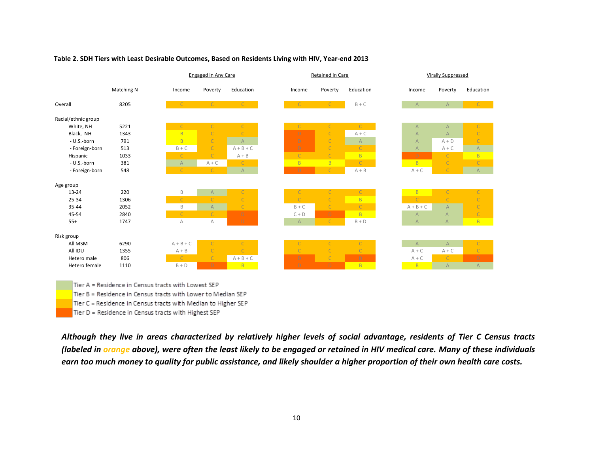|                     |            |                | Engaged in Any Care |                | Retained in Care |                |                                                                       | <b>Virally Suppressed</b> |                |  |
|---------------------|------------|----------------|---------------------|----------------|------------------|----------------|-----------------------------------------------------------------------|---------------------------|----------------|--|
|                     | Matching N | Income         | Poverty             | Education      | Income           | Poverty        | Education                                                             | Income                    | Poverty        |  |
| Overall             | 8205       |                | $\mathsf{C}$        | C              |                  | $\mathsf{C}$   | $B + C$                                                               | $\overline{A}$            | $\mathsf{A}$   |  |
| Racial/ethnic group |            |                |                     |                |                  |                |                                                                       |                           |                |  |
| White, NH           | 5221       | $\mathsf{C}$   | $\mathsf{C}$        | $\overline{C}$ | $\mathsf C$      | $\mathsf{C}$   | $\mathbb{C}$                                                          | $\overline{A}$            | $\mathsf{A}$   |  |
| Black, NH           | 1343       | B              | $\mathsf{C}$        | $\overline{C}$ | D                | $\mathsf{C}$   | $A + C$                                                               | $\overline{A}$            | $\mathsf{A}$   |  |
| - U.S.-born         | 791        | $\overline{B}$ | $\mathsf{C}$        | $\overline{A}$ | D                | $\mathsf{C}$   | $\mathsf{A}% _{\mathsf{A}}^{\prime}=\mathsf{A}_{\mathsf{A}}^{\prime}$ | $\overline{A}$            | $A + D$        |  |
| - Foreign-born      | 513        | $B + C$        | $\mathsf{C}$        | $A + B + C$    | D                | $\mathsf{C}$   | $\mathsf{C}$                                                          | $\overline{A}$            | $A + C$        |  |
| Hispanic            | 1033       | $\mathsf{C}$   | $\mathsf{C}$        | $A + B$        | $\overline{C}$   | $\mathsf{C}$   | B.                                                                    | D                         | $\mathsf{C}$   |  |
| - U.S.-born         | 381        | $\overline{A}$ | $A + C$             | $\mathsf{C}$   | B                | B.             | $\mathsf{C}$                                                          | $\overline{B}$            | $\mathsf{C}$   |  |
| - Foreign-born      | 548        | $\mathsf{C}$   | $\mathsf{C}$        | $\overline{A}$ | D                | $\overline{C}$ | $A + B$                                                               | $A + C$                   | $\overline{C}$ |  |
| Age group           |            |                |                     |                |                  |                |                                                                       |                           |                |  |
| 13-24               | 220        | B              | $\mathsf{A}$        | $\mathsf{C}$   | $\mathsf{C}$     | $\mathsf{C}$   | $\mathsf{C}^-$                                                        | B                         | $\mathsf{C}$   |  |
| 25-34               | 1306       | $\mathsf{C}$   |                     | $\overline{C}$ | $\mathsf{C}$     | $\mathsf{C}$   | B                                                                     | $\overline{C}$            | $\mathsf{C}$   |  |
| 35-44               | 2052       | $\mathsf B$    | $\overline{A}$      | $\mathsf{C}$   | $B + C$          | $\mathsf{C}$   | $\mathsf{C}$                                                          | $A + B + C$               | $\overline{A}$ |  |
| 45-54               | 2840       | $\mathsf{C}$   | $\mathsf{C}$        | $\mathsf D$    | $C + D$          | D              | B.                                                                    | $\overline{A}$            | $\overline{A}$ |  |
| $55+$               | 1747       | A              | А                   | D              | $\mathsf{A}$     | $\mathsf{C}$   | $B + D$                                                               | $\overline{A}$            | $\overline{A}$ |  |
| Risk group          |            |                |                     |                |                  |                |                                                                       |                           |                |  |
| All MSM             | 6290       | $A + B + C$    | $\mathsf{C}$        | $\mathsf{C}$   | $\mathsf{C}$     | $\mathsf{C}$   | $\mathsf{C}$                                                          | $\mathsf{A}$              | A              |  |
| All IDU             | 1355       | $A + B$        | $\mathsf{C}$        | $\overline{C}$ | $\mathsf{C}$     | $\mathsf{C}$   | $\mathsf C$                                                           | $A + C$                   | $A + C$        |  |
| Hetero male         | 806        | $\mathsf{C}$   | $\overline{C}$      | $A + B + C$    | D                | $\mathsf{C}$   | $\mathsf D$                                                           | $A + C$                   | $\mathsf{C}$   |  |
| Hetero female       | 1110       | $B + D$        | D.                  | B.             | D                | D              | B.                                                                    | B                         | $\mathsf{A}$   |  |

#### Table 2. SDH Tiers with Least Desirable Outcomes, Based on Residents Living with HIV, Year-end 2013 e z. SDH Tiers with Least Desirable Out

Tier B = Residence in Census tracts with Lower to Median SEP

Tier C = Residence in Census tracts with Median to Higher SEP

Tier D = Residence in Census tracts with Highest SEP

*Although they live in areas characterized by relatively higher levels of social advantage, residents of Tier C Census tracts (labeled in orange above), were often the least likely to be engaged or retained in HIV medical care. Many of these individuals earn too much money to quality for public assistance, and likely shoulder a higher proportion of their own health care costs.*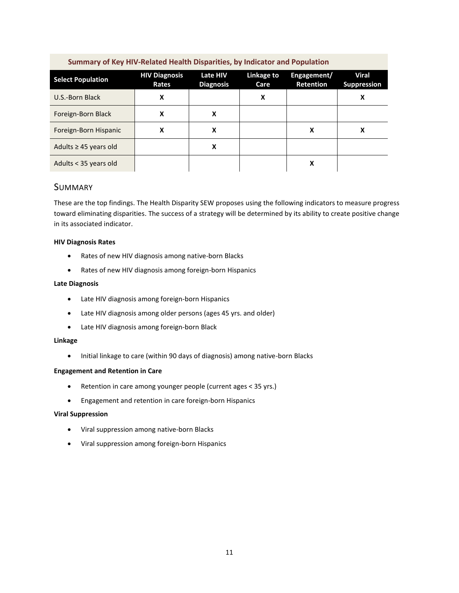<span id="page-11-0"></span>

| Summary of Key HIV-Related Health Disparities, by Indicator and Population |                               |                              |                    |                                 |                                    |  |  |
|----------------------------------------------------------------------------|-------------------------------|------------------------------|--------------------|---------------------------------|------------------------------------|--|--|
| <b>Select Population</b>                                                   | <b>HIV Diagnosis</b><br>Rates | Late HIV<br><b>Diagnosis</b> | Linkage to<br>Care | Engagement/<br><b>Retention</b> | <b>Viral</b><br><b>Suppression</b> |  |  |
| U.S.-Born Black                                                            | X                             |                              | X                  |                                 | x                                  |  |  |
| Foreign-Born Black                                                         | x                             | x                            |                    |                                 |                                    |  |  |
| Foreign-Born Hispanic                                                      | X                             | x                            |                    | x                               | х                                  |  |  |
| Adults $\geq$ 45 years old                                                 |                               | Χ                            |                    |                                 |                                    |  |  |
| Adults < 35 years old                                                      |                               |                              |                    | х                               |                                    |  |  |

#### SUMMARY

These are the top findings. The Health Disparity SEW proposes using the following indicators to measure progress toward eliminating disparities. The success of a strategy will be determined by its ability to create positive change in its associated indicator.

#### **HIV Diagnosis Rates**

- Rates of new HIV diagnosis among native-born Blacks
- Rates of new HIV diagnosis among foreign-born Hispanics

#### **Late Diagnosis**

- Late HIV diagnosis among foreign-born Hispanics
- Late HIV diagnosis among older persons (ages 45 yrs. and older)
- Late HIV diagnosis among foreign-born Black

#### **Linkage**

• Initial linkage to care (within 90 days of diagnosis) among native-born Blacks

#### **Engagement and Retention in Care**

- Retention in care among younger people (current ages < 35 yrs.)
- Engagement and retention in care foreign-born Hispanics

#### **Viral Suppression**

- Viral suppression among native-born Blacks
- Viral suppression among foreign-born Hispanics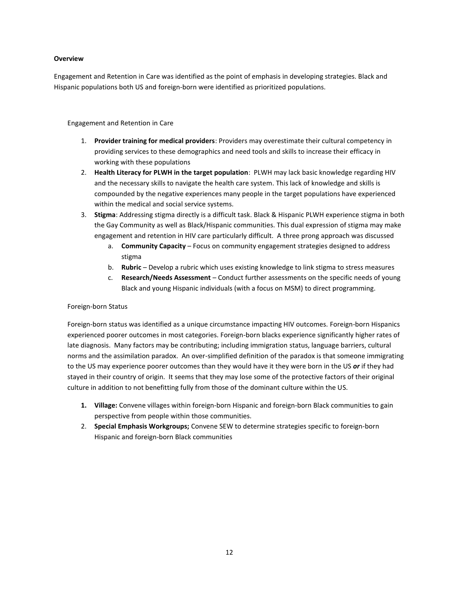#### **Overview**

Engagement and Retention in Care was identified as the point of emphasis in developing strategies. Black and Hispanic populations both US and foreign-born were identified as prioritized populations.

Engagement and Retention in Care

- 1. **Provider training for medical providers**: Providers may overestimate their cultural competency in providing services to these demographics and need tools and skills to increase their efficacy in working with these populations
- 2. **Health Literacy for PLWH in the target population**: PLWH may lack basic knowledge regarding HIV and the necessary skills to navigate the health care system. This lack of knowledge and skills is compounded by the negative experiences many people in the target populations have experienced within the medical and social service systems.
- 3. **Stigma**: Addressing stigma directly is a difficult task. Black & Hispanic PLWH experience stigma in both the Gay Community as well as Black/Hispanic communities. This dual expression of stigma may make engagement and retention in HIV care particularly difficult. A three prong approach was discussed
	- a. **Community Capacity**  Focus on community engagement strategies designed to address stigma
	- b. **Rubric**  Develop a rubric which uses existing knowledge to link stigma to stress measures
	- c. **Research/Needs Assessment**  Conduct further assessments on the specific needs of young Black and young Hispanic individuals (with a focus on MSM) to direct programming.

#### Foreign-born Status

Foreign-born status was identified as a unique circumstance impacting HIV outcomes. Foreign-born Hispanics experienced poorer outcomes in most categories. Foreign-born blacks experience significantly higher rates of late diagnosis. Many factors may be contributing; including immigration status, language barriers, cultural norms and the assimilation paradox. An over-simplified definition of the paradox is that someone immigrating to the US may experience poorer outcomes than they would have it they were born in the US *or* if they had stayed in their country of origin. It seems that they may lose some of the protective factors of their original culture in addition to not benefitting fully from those of the dominant culture within the US.

- **1. Village:** Convene villages within foreign-born Hispanic and foreign-born Black communities to gain perspective from people within those communities.
- 2. **Special Emphasis Workgroups;** Convene SEW to determine strategies specific to foreign-born Hispanic and foreign-born Black communities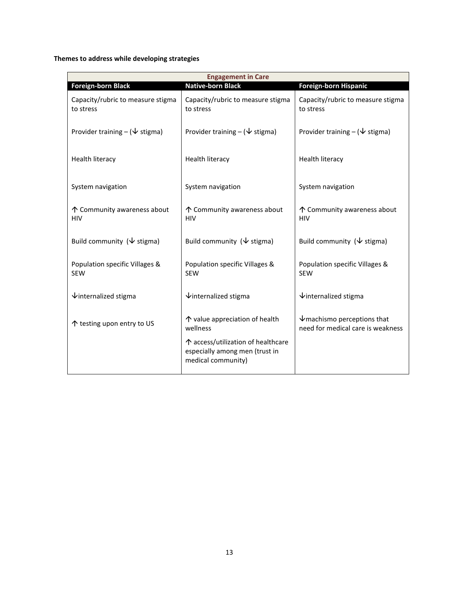**Themes to address while developing strategies** 

| <b>Engagement in Care</b>                      |                                                                                            |                                                                                     |  |  |  |  |  |
|------------------------------------------------|--------------------------------------------------------------------------------------------|-------------------------------------------------------------------------------------|--|--|--|--|--|
| <b>Foreign-born Black</b>                      | <b>Native-born Black</b>                                                                   | Foreign-born Hispanic                                                               |  |  |  |  |  |
| Capacity/rubric to measure stigma<br>to stress | Capacity/rubric to measure stigma<br>to stress                                             | Capacity/rubric to measure stigma<br>to stress                                      |  |  |  |  |  |
| Provider training $-(\nabla \text{stigma})$    | Provider training $-(\nabla \cdot \text{stigma})$                                          | Provider training $-(\nabla \text{stigma})$                                         |  |  |  |  |  |
| <b>Health literacy</b>                         | Health literacy                                                                            | <b>Health literacy</b>                                                              |  |  |  |  |  |
| System navigation                              | System navigation                                                                          | System navigation                                                                   |  |  |  |  |  |
| ↑ Community awareness about<br><b>HIV</b>      | ↑ Community awareness about<br><b>HIV</b>                                                  | ↑ Community awareness about<br><b>HIV</b>                                           |  |  |  |  |  |
| Build community ( $\sqrt{}$ stigma)            | Build community ( $\sqrt{}$ stigma)                                                        | Build community ( $\sqrt{\ }$ stigma)                                               |  |  |  |  |  |
| Population specific Villages &<br><b>SEW</b>   | Population specific Villages &<br><b>SEW</b>                                               | Population specific Villages &<br><b>SEW</b>                                        |  |  |  |  |  |
| $\sqrt{\frac{1}{1}}$ internalized stigma       | $\sqrt{}$ internalized stigma                                                              | $\sqrt{\frac{1}{1}}$ internalized stigma                                            |  |  |  |  |  |
| ↑ testing upon entry to US                     | ↑ value appreciation of health<br>wellness                                                 | $\sqrt{\frac{1}{2}}$ machismo perceptions that<br>need for medical care is weakness |  |  |  |  |  |
|                                                | ↑ access/utilization of healthcare<br>especially among men (trust in<br>medical community) |                                                                                     |  |  |  |  |  |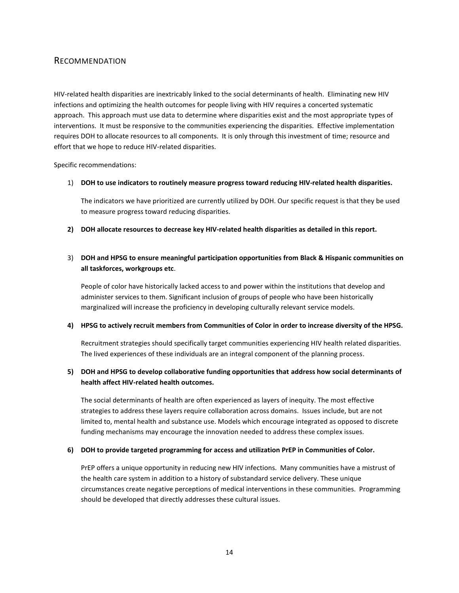#### <span id="page-14-0"></span>RECOMMENDATION

HIV-related health disparities are inextricably linked to the social determinants of health. Eliminating new HIV infections and optimizing the health outcomes for people living with HIV requires a concerted systematic approach. This approach must use data to determine where disparities exist and the most appropriate types of interventions. It must be responsive to the communities experiencing the disparities. Effective implementation requires DOH to allocate resources to all components. It is only through this investment of time; resource and effort that we hope to reduce HIV-related disparities.

Specific recommendations:

1) **DOH to use indicators to routinely measure progress toward reducing HIV-related health disparities.** 

The indicators we have prioritized are currently utilized by DOH. Our specific request is that they be used to measure progress toward reducing disparities.

**2) DOH allocate resources to decrease key HIV-related health disparities as detailed in this report.** 

#### 3) **DOH and HPSG to ensure meaningful participation opportunities from Black & Hispanic communities on all taskforces, workgroups etc**.

People of color have historically lacked access to and power within the institutions that develop and administer services to them. Significant inclusion of groups of people who have been historically marginalized will increase the proficiency in developing culturally relevant service models.

#### **4) HPSG to actively recruit members from Communities of Color in order to increase diversity of the HPSG.**

Recruitment strategies should specifically target communities experiencing HIV health related disparities. The lived experiences of these individuals are an integral component of the planning process.

#### **5) DOH and HPSG to develop collaborative funding opportunities that address how social determinants of health affect HIV-related health outcomes.**

The social determinants of health are often experienced as layers of inequity. The most effective strategies to address these layers require collaboration across domains. Issues include, but are not limited to, mental health and substance use. Models which encourage integrated as opposed to discrete funding mechanisms may encourage the innovation needed to address these complex issues.

#### **6) DOH to provide targeted programming for access and utilization PrEP in Communities of Color.**

PrEP offers a unique opportunity in reducing new HIV infections. Many communities have a mistrust of the health care system in addition to a history of substandard service delivery. These unique circumstances create negative perceptions of medical interventions in these communities. Programming should be developed that directly addresses these cultural issues.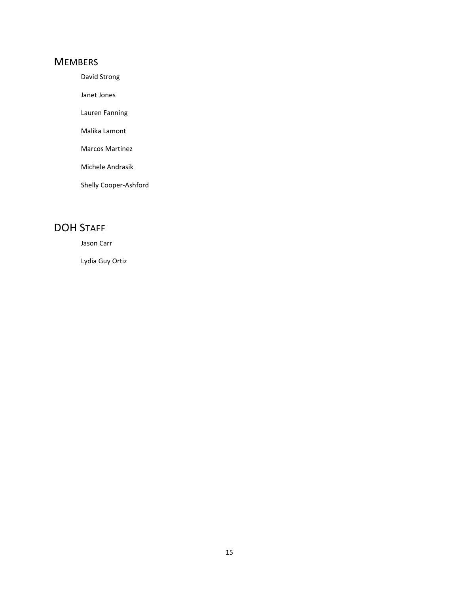## <span id="page-15-0"></span>**MEMBERS**

David Strong

Janet Jones

Lauren Fanning

Malika Lamont

Marcos Martinez

Michele Andrasik

Shelly Cooper-Ashford

## <span id="page-15-1"></span>DOH STAFF

Jason Carr

Lydia Guy Ortiz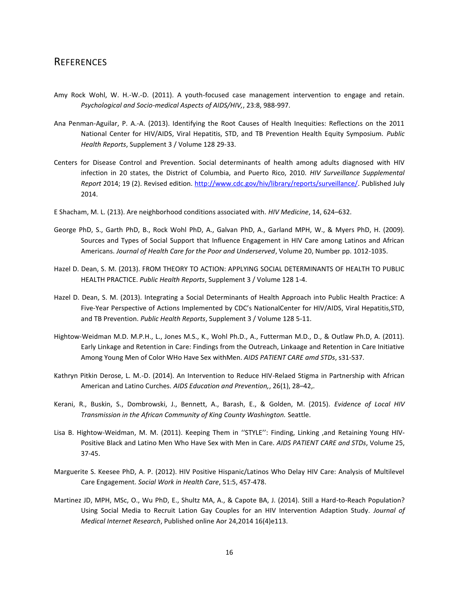### <span id="page-16-0"></span>**REFERENCES**

- Amy Rock Wohl, W. H.-W.-D. (2011). A youth-focused case management intervention to engage and retain. *Psychological and Socio-medical Aspects of AIDS/HIV,*, 23:8, 988-997.
- Ana Penman-Aguilar, P. A.-A. (2013). Identifying the Root Causes of Health Inequities: Reflections on the 2011 National Center for HIV/AIDS, Viral Hepatitis, STD, and TB Prevention Health Equity Symposium. *Public Health Reports*, Supplement 3 / Volume 128 29-33.
- Centers for Disease Control and Prevention. Social determinants of health among adults diagnosed with HIV infection in 20 states, the District of Columbia, and Puerto Rico, 2010. *HIV Surveillance Supplemental Report* 2014; 19 (2). Revised edition[. http://www.cdc.gov/hiv/library/reports/surveillance/.](http://www.cdc.gov/hiv/library/reports/surveillance/) Published July 2014.
- E Shacham, M. L. (213). Are neighborhood conditions associated with. *HIV Medicine*, 14, 624–632.
- George PhD, S., Garth PhD, B., Rock Wohl PhD, A., Galvan PhD, A., Garland MPH, W., & Myers PhD, H. (2009). Sources and Types of Social Support that Influence Engagement in HIV Care among Latinos and African Americans. *Journal of Health Care for the Poor and Underserved*, Volume 20, Number pp. 1012-1035.
- Hazel D. Dean, S. M. (2013). FROM THEORY TO ACTION: APPLYING SOCIAL DETERMINANTS OF HEALTH TO PUBLIC HEALTH PRACTICE. *Public Health Reports*, Supplement 3 / Volume 128 1-4.
- Hazel D. Dean, S. M. (2013). Integrating a Social Determinants of Health Approach into Public Health Practice: A Five-Year Perspective of Actions Implemented by CDC's NationalCenter for HIV/AIDS, Viral Hepatitis,STD, and TB Prevention. *Public Health Reports*, Supplement 3 / Volume 128 5-11.
- Hightow-Weidman M.D. M.P.H., L., Jones M.S., K., Wohl Ph.D., A., Futterman M.D., D., & Outlaw Ph.D, A. (2011). Early Linkage and Retention in Care: Findings from the Outreach, Linkaage and Retention in Care Initiative Among Young Men of Color WHo Have Sex withMen. *AIDS PATIENT CARE amd STDs*, s31-S37.
- Kathryn Pitkin Derose, L. M.-D. (2014). An Intervention to Reduce HIV-Relaed Stigma in Partnership with African American and Latino Curches. *AIDS Education and Prevention,*, 26(1), 28–42,.
- Kerani, R., Buskin, S., Dombrowski, J., Bennett, A., Barash, E., & Golden, M. (2015). *Evidence of Local HIV Transmission in the African Community of King County Washington.* Seattle.
- Lisa B. Hightow-Weidman, M. M. (2011). Keeping Them in "STYLE": Finding, Linking ,and Retaining Young HIV-Positive Black and Latino Men Who Have Sex with Men in Care. *AIDS PATIENT CARE and STDs*, Volume 25, 37-45.
- Marguerite S. Keesee PhD, A. P. (2012). HIV Positive Hispanic/Latinos Who Delay HIV Care: Analysis of Multilevel Care Engagement. *Social Work in Health Care*, 51:5, 457-478.
- Martinez JD, MPH, MSc, O., Wu PhD, E., Shultz MA, A., & Capote BA, J. (2014). Still a Hard-to-Reach Population? Using Social Media to Recruit Lation Gay Couples for an HIV Intervention Adaption Study. *Journal of Medical Internet Research*, Published online Aor 24,2014 16(4)e113.